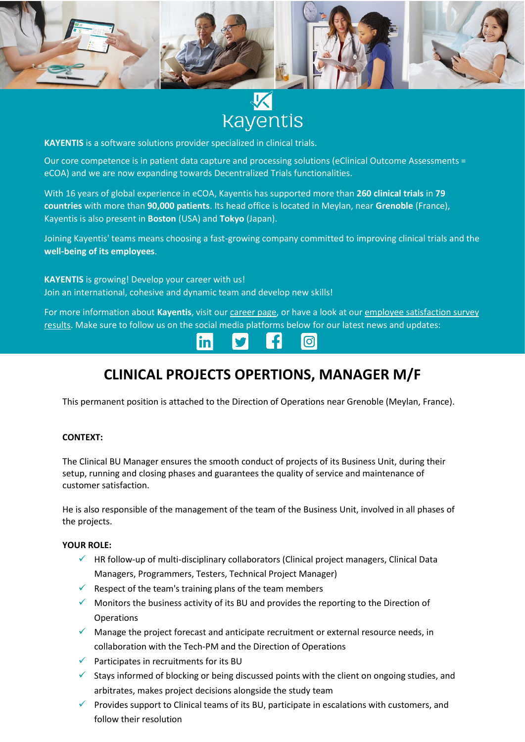



**KAYENTIS** is a software solutions provider specialized in clinical trials.

Our core competence is in patient data capture and processing solutions (eClinical Outcome Assessments = eCOA) and we are now expanding towards Decentralized Trials functionalities.

With 16 years of global experience in eCOA, Kayentis has supported more than **260 clinical trials** in **79 countries** with more than **90,000 patients**. Its head office is located in Meylan, near **Grenoble** (France), Kayentis is also present in **Boston** (USA) and **Tokyo** (Japan).

Joining Kayentis' teams means choosing a fast-growing company committed to improving clinical trials and the **well-being of its employees**.

**KAYENTIS** is growing! Develop your career with us! Join an international, cohesive and dynamic team and develop new skills!

For more information about Kayentis, visit ou[r career page,](https://kayentis.com/about-us/careers/) or have a look at our employee satisfaction survey [results.](https://kayentis.com/2020-employee-satisfaction-survey/) Make sure to follow us on the social media platforms below for our latest news and updates:



# **CLINICAL PROJECTS OPERTIONS, MANAGER M/F**

This permanent position is attached to the Direction of Operations near Grenoble (Meylan, France).

#### **CONTEXT:**

The Clinical BU Manager ensures the smooth conduct of projects of its Business Unit, during their setup, running and closing phases and guarantees the quality of service and maintenance of customer satisfaction.

He is also responsible of the management of the team of the Business Unit, involved in all phases of the projects.

#### **YOUR ROLE:**

- ✓ HR follow-up of multi-disciplinary collaborators (Clinical project managers, Clinical Data Managers, Programmers, Testers, Technical Project Manager)
- $\checkmark$  Respect of the team's training plans of the team members
- $\checkmark$  Monitors the business activity of its BU and provides the reporting to the Direction of **Operations**
- $\checkmark$  Manage the project forecast and anticipate recruitment or external resource needs, in collaboration with the Tech-PM and the Direction of Operations
- $\checkmark$  Participates in recruitments for its BU
- $\checkmark$  Stays informed of blocking or being discussed points with the client on ongoing studies, and arbitrates, makes project decisions alongside the study team
- $\checkmark$  Provides support to Clinical teams of its BU, participate in escalations with customers, and follow their resolution